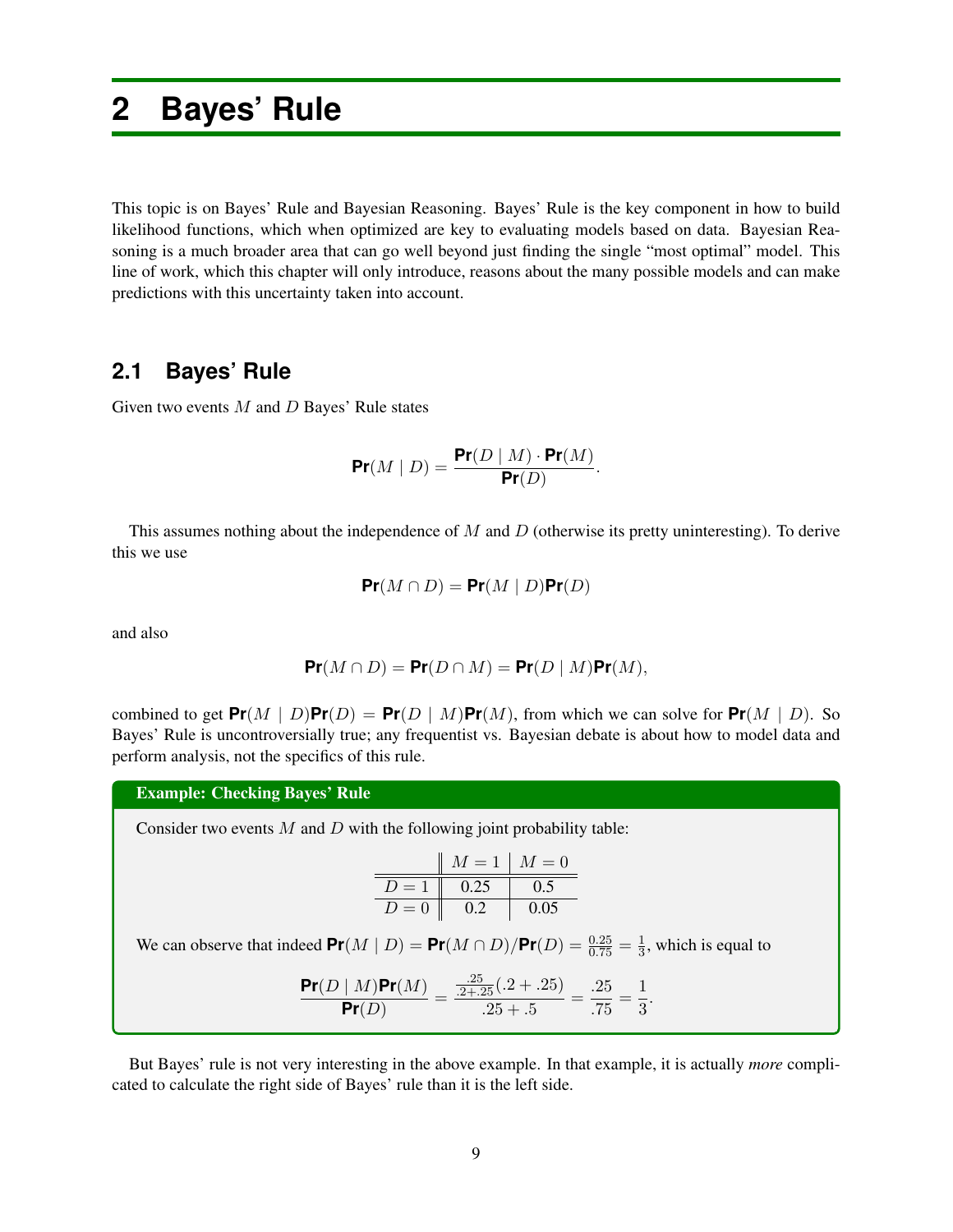# **2 Bayes' Rule**

This topic is on Bayes' Rule and Bayesian Reasoning. Bayes' Rule is the key component in how to build likelihood functions, which when optimized are key to evaluating models based on data. Bayesian Reasoning is a much broader area that can go well beyond just finding the single "most optimal" model. This line of work, which this chapter will only introduce, reasons about the many possible models and can make predictions with this uncertainty taken into account.

# **2.1 Bayes' Rule**

Given two events *M* and *D* Bayes' Rule states

$$
\Pr(M \mid D) = \frac{\Pr(D \mid M) \cdot \Pr(M)}{\Pr(D)}.
$$

This assumes nothing about the independence of *M* and *D* (otherwise its pretty uninteresting). To derive this we use

$$
\Pr(M \cap D) = \Pr(M \mid D)\Pr(D)
$$

and also

$$
\Pr(M \cap D) = \Pr(D \cap M) = \Pr(D \mid M)\Pr(M),
$$

combined to get  $Pr(M | D)Pr(D) = Pr(D | M)Pr(M)$ , from which we can solve for  $Pr(M | D)$ . So Bayes' Rule is uncontroversially true; any frequentist vs. Bayesian debate is about how to model data and perform analysis, not the specifics of this rule.

Example: Checking Bayes' Rule

Consider two events *M* and *D* with the following joint probability table:

| $M = 1$ | $M = 0$ |      |
|---------|---------|------|
| $D = 1$ | 0.25    | 0.5  |
| $D = 0$ | 0.2     | 0.05 |

We can observe that indeed  $Pr(M | D) = Pr(M \cap D)/Pr(D) = \frac{0.25}{0.75} = \frac{1}{3}$ , which is equal to

$$
\frac{\Pr(D \mid M)\Pr(M)}{\Pr(D)} = \frac{\frac{.25}{.2 + .25}(.2 + .25)}{.25 + .5} = \frac{.25}{.75} = \frac{1}{3}.
$$

But Bayes' rule is not very interesting in the above example. In that example, it is actually *more* complicated to calculate the right side of Bayes' rule than it is the left side.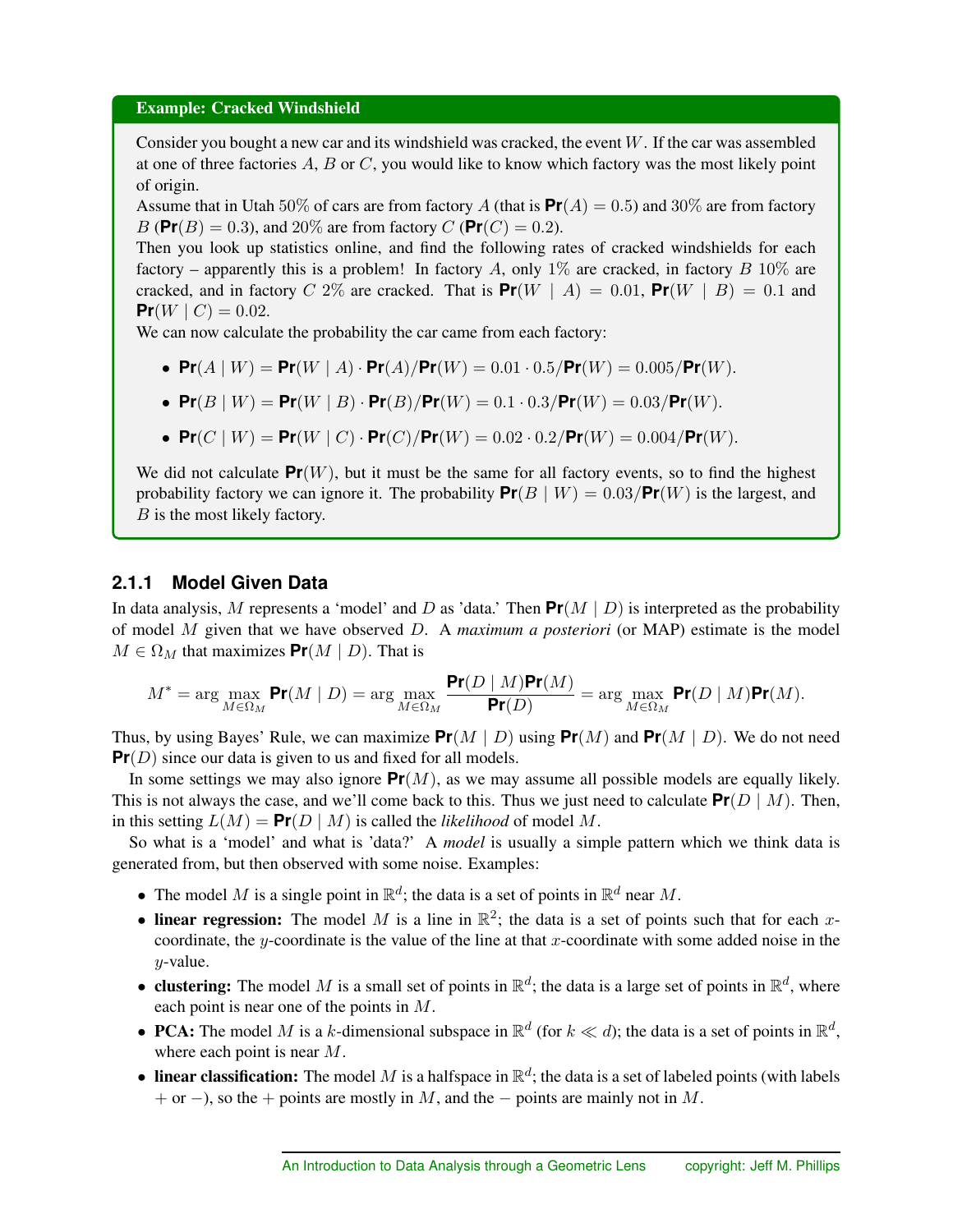#### Example: Cracked Windshield

Consider you bought a new car and its windshield was cracked, the event *W*. If the car was assembled at one of three factories *A*, *B* or *C*, you would like to know which factory was the most likely point of origin.

Assume that in Utah 50% of cars are from factory *A* (that is  $Pr(A) = 0.5$ ) and 30% are from factory *B* ( $Pr(B) = 0.3$ ), and 20% are from factory *C* ( $Pr(C) = 0.2$ ).

Then you look up statistics online, and find the following rates of cracked windshields for each factory – apparently this is a problem! In factory *A*, only 1% are cracked, in factory *B* 10% are cracked, and in factory *C* 2\% are cracked. That is  $Pr(W | A) = 0.01$ ,  $Pr(W | B) = 0.1$  and **Pr**(*W* | *C*) = 0.02.

We can now calculate the probability the car came from each factory:

•  $Pr(A | W) = Pr(W | A) \cdot Pr(A)/Pr(W) = 0.01 \cdot 0.5/Pr(W) = 0.005/Pr(W)$ .

• 
$$
\Pr(B | W) = \Pr(W | B) \cdot \Pr(B) / \Pr(W) = 0.1 \cdot 0.3 / \Pr(W) = 0.03 / \Pr(W)
$$
.

•  $Pr(C | W) = Pr(W | C) \cdot Pr(C)/Pr(W) = 0.02 \cdot 0.2/Pr(W) = 0.004/Pr(W)$ .

We did not calculate  $Pr(W)$ , but it must be the same for all factory events, so to find the highest probability factory we can ignore it. The probability  $Pr(B \mid W) = 0.03 / Pr(W)$  is the largest, and *B* is the most likely factory.

### **2.1.1 Model Given Data**

In data analysis, M represents a 'model' and D as 'data.' Then  $Pr(M | D)$  is interpreted as the probability of model *M* given that we have observed *D*. A *maximum a posteriori* (or MAP) estimate is the model  $M \in \Omega_M$  that maximizes  $Pr(M | D)$ . That is

$$
M^* = \arg\max_{M \in \Omega_M} \Pr(M \mid D) = \arg\max_{M \in \Omega_M} \frac{\Pr(D \mid M) \Pr(M)}{\Pr(D)} = \arg\max_{M \in \Omega_M} \Pr(D \mid M) \Pr(M).
$$

Thus, by using Bayes' Rule, we can maximize  $Pr(M | D)$  using  $Pr(M)$  and  $Pr(M | D)$ . We do not need **Pr**(*D*) since our data is given to us and fixed for all models.

In some settings we may also ignore  $Pr(M)$ , as we may assume all possible models are equally likely. This is not always the case, and we'll come back to this. Thus we just need to calculate  $Pr(D \mid M)$ . Then, in this setting  $L(M) = \Pr(D \mid M)$  is called the *likelihood* of model M.

So what is a 'model' and what is 'data?' A *model* is usually a simple pattern which we think data is generated from, but then observed with some noise. Examples:

- The model *M* is a single point in  $\mathbb{R}^d$ ; the data is a set of points in  $\mathbb{R}^d$  near *M*.
- linear regression: The model *M* is a line in  $\mathbb{R}^2$ ; the data is a set of points such that for each *x*coordinate, the *y*-coordinate is the value of the line at that *x*-coordinate with some added noise in the *y*-value.
- **clustering:** The model *M* is a small set of points in  $\mathbb{R}^d$ ; the data is a large set of points in  $\mathbb{R}^d$ , where each point is near one of the points in *M*.
- PCA: The model *M* is a *k*-dimensional subspace in  $\mathbb{R}^d$  (for  $k \ll d$ ); the data is a set of points in  $\mathbb{R}^d$ , where each point is near *M*.
- linear classification: The model *M* is a halfspace in  $\mathbb{R}^d$ ; the data is a set of labeled points (with labels + or -), so the + points are mostly in  $M$ , and the  $-$  points are mainly not in  $M$ .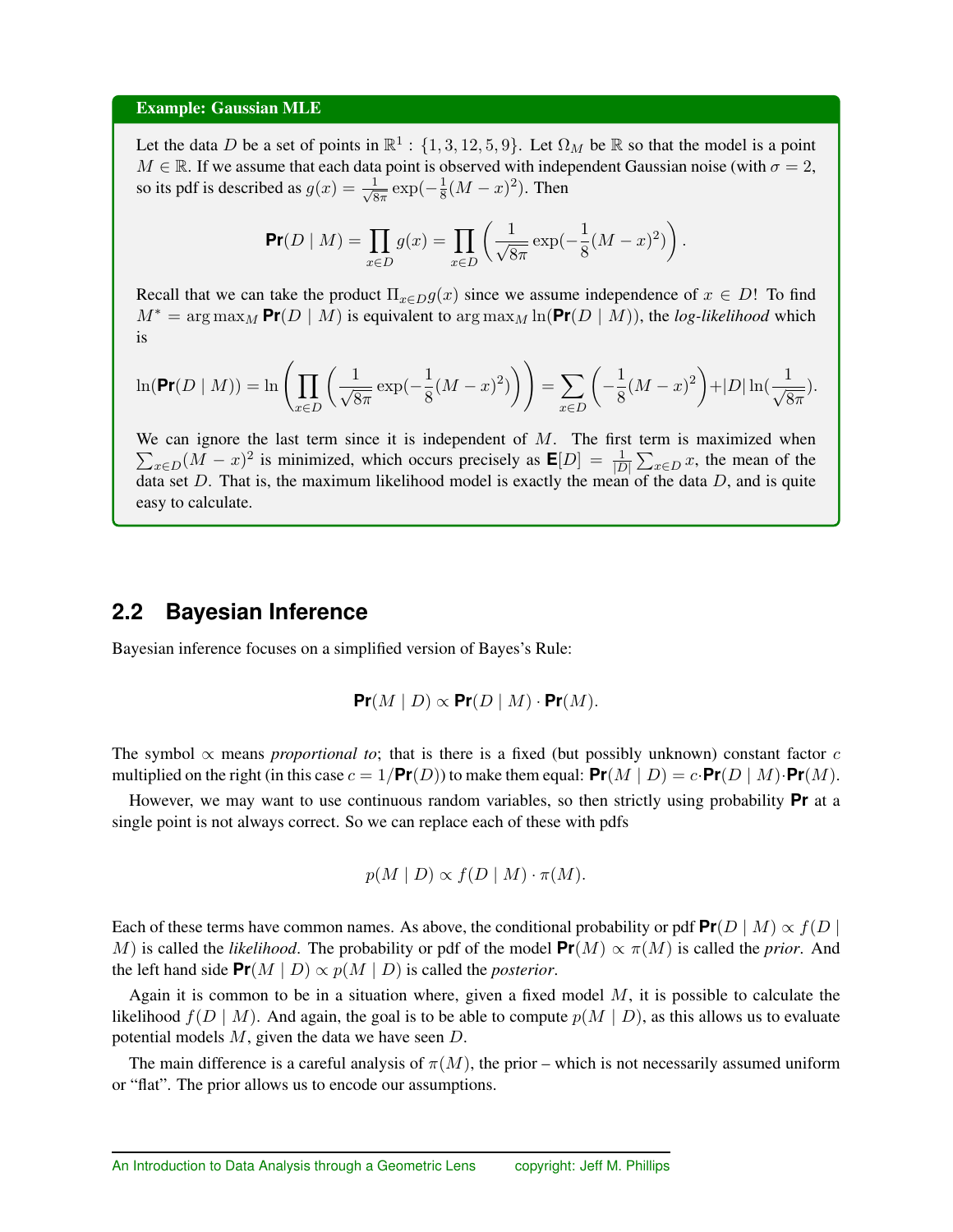#### Example: Gaussian MLE

Let the data *D* be a set of points in  $\mathbb{R}^1$  : {1, 3, 12, 5, 9}. Let  $\Omega_M$  be  $\mathbb R$  so that the model is a point  $M \in \mathbb{R}$ . If we assume that each data point is observed with independent Gaussian noise (with  $\sigma = 2$ , so its pdf is described as  $g(x) = \frac{1}{\sqrt{8\pi}} \exp(-\frac{1}{8}(M-x)^2)$ . Then

$$
\Pr(D \mid M) = \prod_{x \in D} g(x) = \prod_{x \in D} \left( \frac{1}{\sqrt{8\pi}} \exp(-\frac{1}{8}(M - x)^2) \right).
$$

Recall that we can take the product  $\Pi_{x \in D} g(x)$  since we assume independence of  $x \in D!$  To find  $M^* = \arg \max_M \Pr(D \mid M)$  is equivalent to  $\arg \max_M \ln(\Pr(D \mid M))$ , the *log-likelihood* which is

$$
\ln(\Pr(D \mid M)) = \ln \left( \prod_{x \in D} \left( \frac{1}{\sqrt{8\pi}} \exp(-\frac{1}{8}(M - x)^2) \right) \right) = \sum_{x \in D} \left( -\frac{1}{8}(M - x)^2 \right) + |D| \ln(\frac{1}{\sqrt{8\pi}}).
$$

We can ignore the last term since it is independent of *M*. The first term is maximized when  $\sum_{x \in D} (M - x)^2$  is minimized, which occurs precisely as  $\mathbf{E}[D] = \frac{1}{|D|} \sum_{x \in D} x$ , the mean of the data set *D*. That is, the maximum likelihood model is exactly the mean of the data *D*, and is quite easy to calculate.

# **2.2 Bayesian Inference**

Bayesian inference focuses on a simplified version of Bayes's Rule:

$$
\Pr(M | D) \propto \Pr(D | M) \cdot \Pr(M).
$$

The symbol  $\propto$  means *proportional to*; that is there is a fixed (but possibly unknown) constant factor *c* multiplied on the right (in this case  $c = 1/\text{Pr}(D)$ ) to make them equal:  $\text{Pr}(M | D) = c \cdot \text{Pr}(D | M) \cdot \text{Pr}(M)$ .

However, we may want to use continuous random variables, so then strictly using probability **Pr** at a single point is not always correct. So we can replace each of these with pdfs

$$
p(M | D) \propto f(D | M) \cdot \pi(M).
$$

Each of these terms have common names. As above, the conditional probability or pdf  $Pr(D \mid M) \propto f(D)$ *M*) is called the *likelihood*. The probability or pdf of the model  $Pr(M) \propto \pi(M)$  is called the *prior*. And the left hand side  $Pr(M | D) \propto p(M | D)$  is called the *posterior*.

Again it is common to be in a situation where, given a fixed model *M*, it is possible to calculate the likelihood  $f(D | M)$ . And again, the goal is to be able to compute  $p(M | D)$ , as this allows us to evaluate potential models *M*, given the data we have seen *D*.

The main difference is a careful analysis of  $\pi(M)$ , the prior – which is not necessarily assumed uniform or "flat". The prior allows us to encode our assumptions.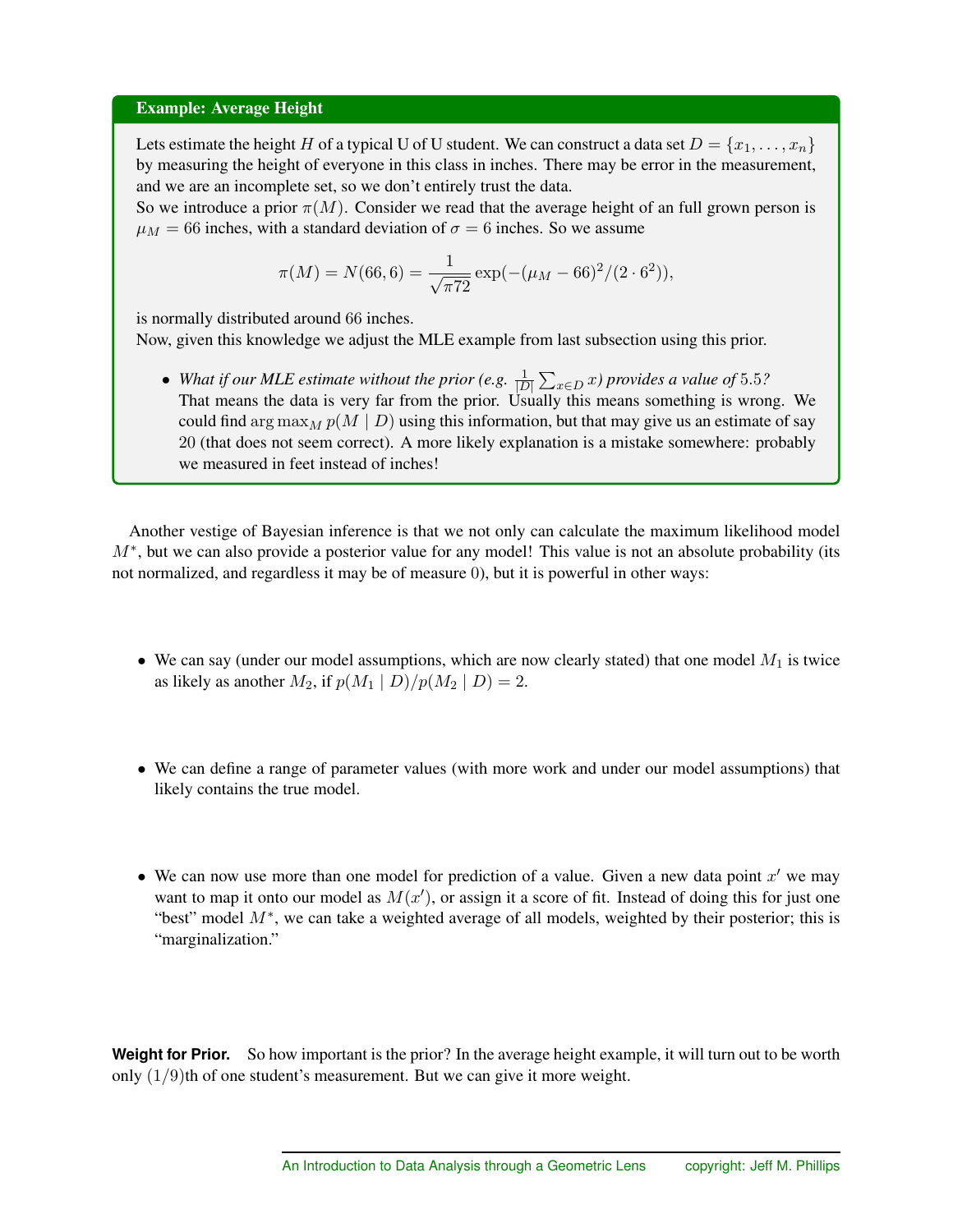#### Example: Average Height

Lets estimate the height *H* of a typical U of U student. We can construct a data set  $D = \{x_1, \ldots, x_n\}$ by measuring the height of everyone in this class in inches. There may be error in the measurement, and we are an incomplete set, so we don't entirely trust the data.

So we introduce a prior  $\pi(M)$ . Consider we read that the average height of an full grown person is  $\mu_M$  = 66 inches, with a standard deviation of  $\sigma = 6$  inches. So we assume

$$
\pi(M) = N(66, 6) = \frac{1}{\sqrt{\pi 72}} \exp(-(\mu_M - 66)^2 / (2 \cdot 6^2)),
$$

is normally distributed around 66 inches.

Now, given this knowledge we adjust the MLE example from last subsection using this prior.

• *What if our MLE estimate without the prior (e.g.*  $\frac{1}{|D|} \sum_{x \in D} x$ *) provides a value of* 5.5*?* That means the data is very far from the prior. Usually this means something is wrong. We could find arg  $\max_{M} p(M | D)$  using this information, but that may give us an estimate of say 20 (that does not seem correct). A more likely explanation is a mistake somewhere: probably we measured in feet instead of inches!

Another vestige of Bayesian inference is that we not only can calculate the maximum likelihood model *M*<sup>\*</sup>, but we can also provide a posterior value for any model! This value is not an absolute probability (its not normalized, and regardless it may be of measure 0), but it is powerful in other ways:

- We can say (under our model assumptions, which are now clearly stated) that one model  $M_1$  is twice as likely as another  $M_2$ , if  $p(M_1 | D)/p(M_2 | D) = 2$ .
- We can define a range of parameter values (with more work and under our model assumptions) that likely contains the true model.
- We can now use more than one model for prediction of a value. Given a new data point  $x<sup>0</sup>$  we may want to map it onto our model as  $M(x')$ , or assign it a score of fit. Instead of doing this for just one "best" model  $M^*$ , we can take a weighted average of all models, weighted by their posterior; this is "marginalization."

**Weight for Prior.** So how important is the prior? In the average height example, it will turn out to be worth only (1*/*9)th of one student's measurement. But we can give it more weight.